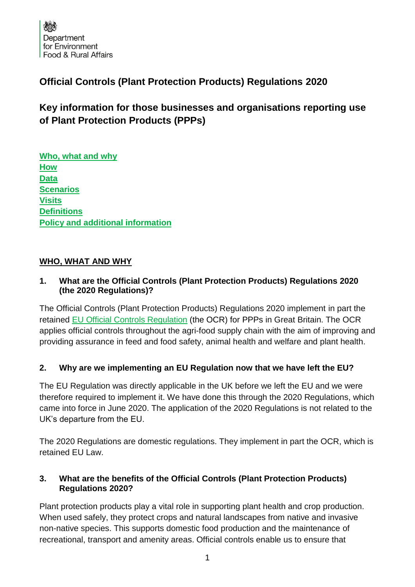# **Official Controls (Plant Protection Products) Regulations 2020**

# **Key information for those businesses and organisations reporting use of Plant Protection Products (PPPs)**

**[Who, what and why](#page-0-0) [How](#page-3-0) [Data](#page-5-0) [Scenarios](#page-6-0) [Visits](#page-7-0) [Definitions](#page-8-0) [Policy and additional information](#page-9-0)**

## <span id="page-0-0"></span>**WHO, WHAT AND WHY**

## **1. What are the Official Controls (Plant Protection Products) Regulations 2020 (the 2020 Regulations)?**

The Official Controls (Plant Protection Products) Regulations 2020 implement in part the retained [EU Official Controls Regulation](https://www.legislation.gov.uk/eur/2017/625/contents) (the OCR) for PPPs in Great Britain. The OCR applies official controls throughout the agri-food supply chain with the aim of improving and providing assurance in feed and food safety, animal health and welfare and plant health.

# **2. Why are we implementing an EU Regulation now that we have left the EU?**

The EU Regulation was directly applicable in the UK before we left the EU and we were therefore required to implement it. We have done this through the 2020 Regulations, which came into force in June 2020. The application of the 2020 Regulations is not related to the UK's departure from the EU.

The 2020 Regulations are domestic regulations. They implement in part the OCR, which is retained EU Law.

## **3. What are the benefits of the Official Controls (Plant Protection Products) Regulations 2020?**

Plant protection products play a vital role in supporting plant health and crop production. When used safely, they protect crops and natural landscapes from native and invasive non-native species. This supports domestic food production and the maintenance of recreational, transport and amenity areas. Official controls enable us to ensure that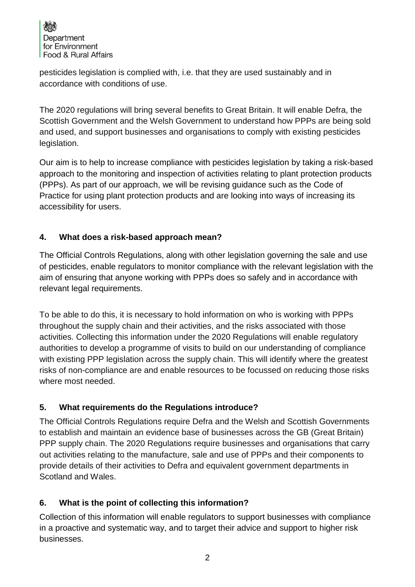

pesticides legislation is complied with, i.e. that they are used sustainably and in accordance with conditions of use.

The 2020 regulations will bring several benefits to Great Britain. It will enable Defra, the Scottish Government and the Welsh Government to understand how PPPs are being sold and used, and support businesses and organisations to comply with existing pesticides legislation.

Our aim is to help to increase compliance with pesticides legislation by taking a risk-based approach to the monitoring and inspection of activities relating to plant protection products (PPPs). As part of our approach, we will be revising guidance such as the Code of Practice for using plant protection products and are looking into ways of increasing its accessibility for users.

## **4. What does a risk-based approach mean?**

The Official Controls Regulations, along with other legislation governing the sale and use of pesticides, enable regulators to monitor compliance with the relevant legislation with the aim of ensuring that anyone working with PPPs does so safely and in accordance with relevant legal requirements.

To be able to do this, it is necessary to hold information on who is working with PPPs throughout the supply chain and their activities, and the risks associated with those activities. Collecting this information under the 2020 Regulations will enable regulatory authorities to develop a programme of visits to build on our understanding of compliance with existing PPP legislation across the supply chain. This will identify where the greatest risks of non-compliance are and enable resources to be focussed on reducing those risks where most needed.

# **5. What requirements do the Regulations introduce?**

The Official Controls Regulations require Defra and the Welsh and Scottish Governments to establish and maintain an evidence base of businesses across the GB (Great Britain) PPP supply chain. The 2020 Regulations require businesses and organisations that carry out activities relating to the manufacture, sale and use of PPPs and their components to provide details of their activities to Defra and equivalent government departments in Scotland and Wales.

# **6. What is the point of collecting this information?**

Collection of this information will enable regulators to support businesses with compliance in a proactive and systematic way, and to target their advice and support to higher risk businesses.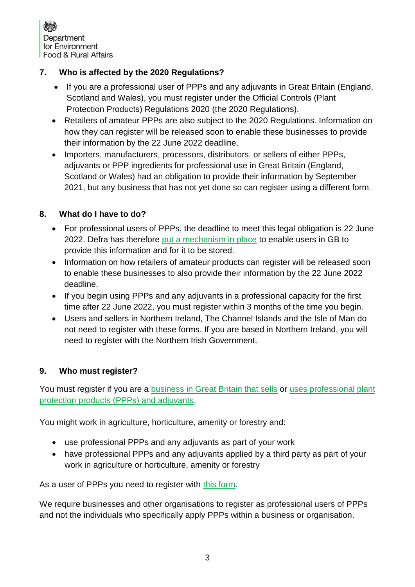

# **7. Who is affected by the 2020 Regulations?**

- If you are a professional user of PPPs and any adjuvants in Great Britain (England, Scotland and Wales), you must register under [the Official Controls \(Plant](https://www.legislation.gov.uk/uksi/2020/552/contents/made)  [Protection Products\) Regulations 2020](https://www.legislation.gov.uk/uksi/2020/552/contents/made) (the 2020 Regulations).
- Retailers of amateur PPPs are also subiect to the 2020 Regulations. Information on how they can register will be released soon to enable these businesses to provide their information by the 22 June 2022 deadline.
- Importers, manufacturers, processors, distributors, or sellers of either PPPs, adjuvants or PPP ingredients for professional use in Great Britain (England, Scotland or Wales) had an obligation to provide their information by September 2021, but any business that has not yet done so can register using a different form.

#### **8. What do I have to do?**

- For professional users of PPPs, the deadline to meet this legal obligation is 22 June 2022. Defra has therefore [put a mechanism in place](https://www.gov.uk/government/publications/professional-plant-protection-products-ppps-register-as-a-user) to enable users in GB to provide this information and for it to be stored.
- Information on how retailers of amateur products can register will be released soon to enable these businesses to also provide their information by the 22 June 2022 deadline.
- If you begin using PPPs and any adjuvants in a professional capacity for the first time after 22 June 2022, you must register within 3 months of the time you begin.
- Users and sellers in Northern Ireland, The Channel Islands and the Isle of Man do not need to register with these forms. If you are based in Northern Ireland, you will need to register with the [Northern Irish Government.](https://www.daera-ni.gov.uk/articles/official-controls-plant-protection-products-regulations-northern-ireland-2020-list-operators)

#### **9. Who must register?**

You must register if you are a [business in Great Britain that sells](https://www.gov.uk/government/publications/professional-plant-protection-products-ppps-register-as-a-business-that-places-them-on-the-market) or [uses professional plant](https://www.gov.uk/government/publications/professional-plant-protection-products-ppps-register-as-a-user)  [protection products \(PPPs\) and adjuvants.](https://www.gov.uk/government/publications/professional-plant-protection-products-ppps-register-as-a-user)

You might work in agriculture, horticulture, amenity or forestry and:

- use professional PPPs and any adjuvants as part of your work
- have professional PPPs and any adjuvants applied by a third party as part of your work in agriculture or horticulture, amenity or forestry

As a user of PPPs you need to register with [this form.](https://www.gov.uk/government/publications/professional-plant-protection-products-ppps-register-as-a-user)

We require businesses and other organisations to register as professional users of PPPs and not the individuals who specifically apply PPPs within a business or organisation.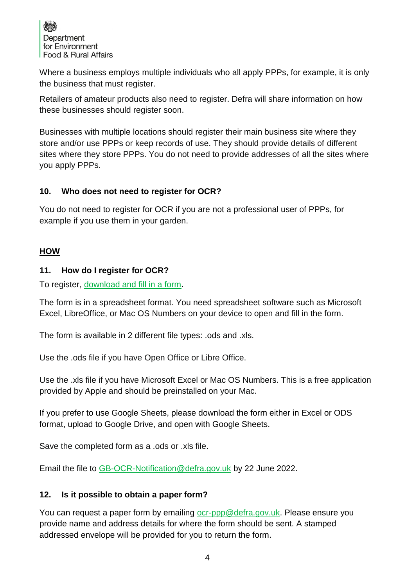

Where a business employs multiple individuals who all apply PPPs, for example, it is only the business that must register.

Retailers of amateur products also need to register. Defra will share information on how these businesses should register soon.

Businesses with multiple locations should register their main business site where they store and/or use PPPs or keep records of use. They should provide details of different sites where they store PPPs. You do not need to provide addresses of all the sites where you apply PPPs.

#### **10. Who does not need to register for OCR?**

You do not need to register for OCR if you are not a professional user of PPPs, for example if you use them in your garden.

#### <span id="page-3-0"></span>**HOW**

#### **11. How do I register for OCR?**

To register, [download and fill in a form](https://www.gov.uk/government/publications/professional-plant-protection-products-ppps-register-as-a-user)**.**

The form is in a spreadsheet format. You need spreadsheet software such as Microsoft Excel, LibreOffice, or Mac OS Numbers on your device to open and fill in the form.

The form is available in 2 different file types: .ods and .xls.

Use the .ods file if you have Open Office or Libre Office.

Use the .xls file if you have Microsoft Excel or Mac OS Numbers. This is a free application provided by Apple and should be preinstalled on your Mac.

If you prefer to use Google Sheets, please download the form either in Excel or ODS format, upload to Google Drive, and open with Google Sheets.

Save the completed form as a .ods or .xls file.

Email the file to [GB-OCR-Notification@defra.gov.uk](mailto:GB-OCR-Notification@defra.gov.uk) by 22 June 2022.

#### **12. Is it possible to obtain a paper form?**

You can request a paper form by emailing [ocr-ppp@defra.gov.uk.](mailto:ocr-ppp@defra.gov.uk) Please ensure you provide name and address details for where the form should be sent. A stamped addressed envelope will be provided for you to return the form.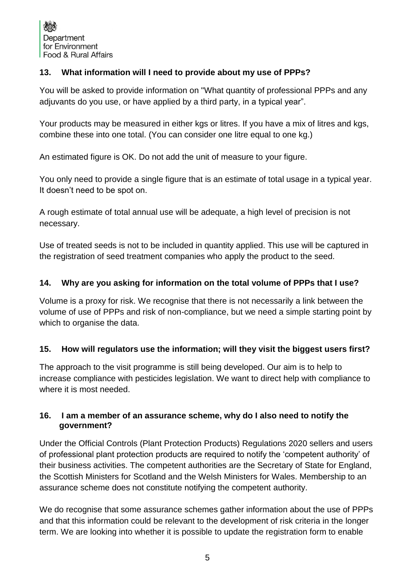## **13. What information will I need to provide about my use of PPPs?**

You will be asked to provide information on "What quantity of professional PPPs and any adjuvants do you use, or have applied by a third party, in a typical year".

Your products may be measured in either kgs or litres. If you have a mix of litres and kgs, combine these into one total. (You can consider one litre equal to one kg.)

An estimated figure is OK. Do not add the unit of measure to your figure.

You only need to provide a single figure that is an estimate of total usage in a typical year. It doesn't need to be spot on.

A rough estimate of total annual use will be adequate, a high level of precision is not necessary.

Use of treated seeds is not to be included in quantity applied. This use will be captured in the registration of seed treatment companies who apply the product to the seed.

#### **14. Why are you asking for information on the total volume of PPPs that I use?**

Volume is a proxy for risk. We recognise that there is not necessarily a link between the volume of use of PPPs and risk of non-compliance, but we need a simple starting point by which to organise the data.

#### **15. How will regulators use the information; will they visit the biggest users first?**

The approach to the visit programme is still being developed. Our aim is to help to increase compliance with pesticides legislation. We want to direct help with compliance to where it is most needed.

#### **16. I am a member of an assurance scheme, why do I also need to notify the government?**

Under the Official Controls (Plant Protection Products) Regulations 2020 sellers and users of professional plant protection products are required to notify the 'competent authority' of their business activities. The competent authorities are the Secretary of State for England, the Scottish Ministers for Scotland and the Welsh Ministers for Wales. Membership to an assurance scheme does not constitute notifying the competent authority.

We do recognise that some assurance schemes gather information about the use of PPPs and that this information could be relevant to the development of risk criteria in the longer term. We are looking into whether it is possible to update the registration form to enable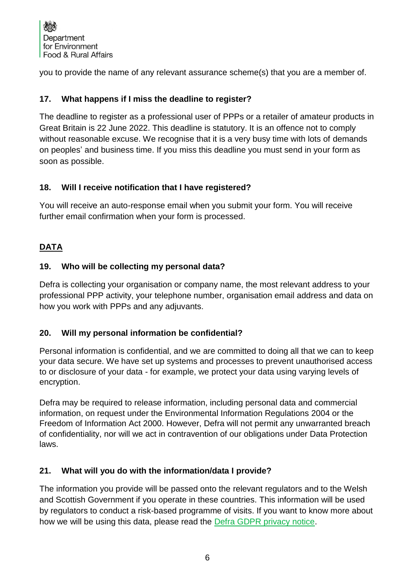

you to provide the name of any relevant assurance scheme(s) that you are a member of.

#### **17. What happens if I miss the deadline to register?**

The deadline to register as a professional user of PPPs or a retailer of amateur products in Great Britain is 22 June 2022. This deadline is statutory. It is an offence not to comply without reasonable excuse. We recognise that it is a very busy time with lots of demands on peoples' and business time. If you miss this deadline you must send in your form as soon as possible.

#### **18. Will I receive notification that I have registered?**

You will receive an auto-response email when you submit your form. You will receive further email confirmation when your form is processed.

## <span id="page-5-0"></span>**DATA**

#### **19. Who will be collecting my personal data?**

Defra is collecting your organisation or company name, the most relevant address to your professional PPP activity, your telephone number, organisation email address and data on how you work with PPPs and any adjuvants.

#### **20. Will my personal information be confidential?**

Personal information is confidential, and we are committed to doing all that we can to keep your data secure. We have set up systems and processes to prevent unauthorised access to or disclosure of your data - for example, we protect your data using varying levels of encryption.

Defra may be required to release information, including personal data and commercial information, on request under the Environmental Information Regulations 2004 or the Freedom of Information Act 2000. However, Defra will not permit any unwarranted breach of confidentiality, nor will we act in contravention of our obligations under Data Protection laws.

#### **21. What will you do with the information/data I provide?**

The information you provide will be passed onto the relevant regulators and to the Welsh and Scottish Government if you operate in these countries. This information will be used by regulators to conduct a risk-based programme of visits. If you want to know more about how we will be using this data, please read the [Defra GDPR privacy notice.](https://www.gov.uk/government/publications/professional-plant-protection-products-ppps-register-as-a-user/the-official-controls-regulation-2020-privacy-notice)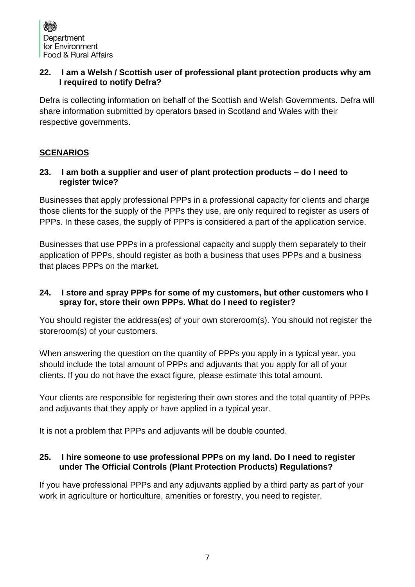#### **22. I am a Welsh / Scottish user of professional plant protection products why am I required to notify Defra?**

Defra is collecting information on behalf of the Scottish and Welsh Governments. Defra will share information submitted by operators based in Scotland and Wales with their respective governments.

# <span id="page-6-0"></span>**SCENARIOS**

#### **23. I am both a supplier and user of plant protection products – do I need to register twice?**

Businesses that apply professional PPPs in a professional capacity for clients and charge those clients for the supply of the PPPs they use, are only required to register as users of PPPs. In these cases, the supply of PPPs is considered a part of the application service.

Businesses that use PPPs in a professional capacity and supply them separately to their application of PPPs, should register as both a business that uses PPPs and a business that places PPPs on the market.

#### **24. I store and spray PPPs for some of my customers, but other customers who I spray for, store their own PPPs. What do I need to register?**

You should register the address(es) of your own storeroom(s). You should not register the storeroom(s) of your customers.

When answering the question on the quantity of PPPs you apply in a typical year, you should include the total amount of PPPs and adjuvants that you apply for all of your clients. If you do not have the exact figure, please estimate this total amount.

Your clients are responsible for registering their own stores and the total quantity of PPPs and adjuvants that they apply or have applied in a typical year.

It is not a problem that PPPs and adjuvants will be double counted.

#### **25. I hire someone to use professional PPPs on my land. Do I need to register under The Official Controls (Plant Protection Products) Regulations?**

If you have professional PPPs and any adjuvants applied by a third party as part of your work in agriculture or horticulture, amenities or forestry, you need to register.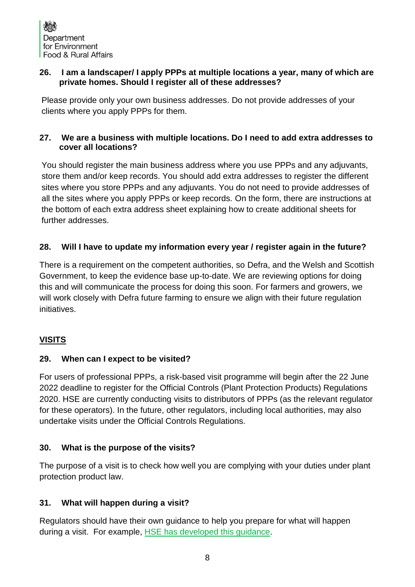#### **26. I am a landscaper/ I apply PPPs at multiple locations a year, many of which are private homes. Should I register all of these addresses?**

Please provide only your own business addresses. Do not provide addresses of your clients where you apply PPPs for them.

#### **27. We are a business with multiple locations. Do I need to add extra addresses to cover all locations?**

You should register the main business address where you use PPPs and any adjuvants, store them and/or keep records. You should add extra addresses to register the different sites where you store PPPs and any adjuvants. You do not need to provide addresses of all the sites where you apply PPPs or keep records. On the form, there are instructions at the bottom of each extra address sheet explaining how to create additional sheets for further addresses.

# **28. Will I have to update my information every year / register again in the future?**

There is a requirement on the competent authorities, so Defra, and the Welsh and Scottish Government, to keep the evidence base up-to-date. We are reviewing options for doing this and will communicate the process for doing this soon. For farmers and growers, we will work closely with Defra future farming to ensure we align with their future regulation initiatives.

# <span id="page-7-0"></span>**VISITS**

#### **29. When can I expect to be visited?**

For users of professional PPPs, a risk-based visit programme will begin after the 22 June 2022 deadline to register for the Official Controls (Plant Protection Products) Regulations 2020. HSE are currently conducting visits to distributors of PPPs (as the relevant regulator for these operators). In the future, other regulators, including local authorities, may also undertake visits under the Official Controls Regulations.

# **30. What is the purpose of the visits?**

The purpose of a visit is to check how well you are complying with your duties under plant protection product law.

# **31. What will happen during a visit?**

Regulators should have their own guidance to help you prepare for what will happen during a visit. For example, [HSE has developed this guidance.](https://www.hse.gov.uk/pesticides/enforcement/peo-visit.htm)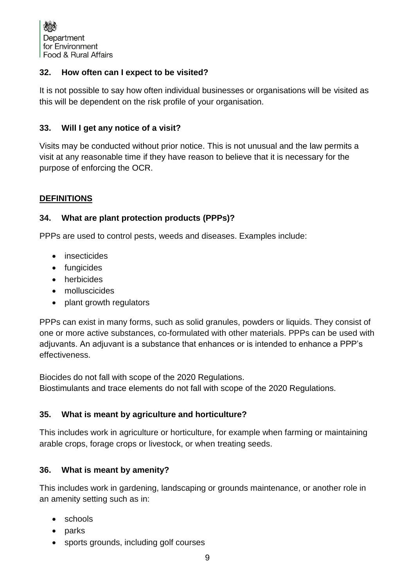#### **32. How often can I expect to be visited?**

It is not possible to say how often individual businesses or organisations will be visited as this will be dependent on the risk profile of your organisation.

## **33. Will I get any notice of a visit?**

Visits may be conducted without prior notice. This is not unusual and the law permits a visit at any reasonable time if they have reason to believe that it is necessary for the purpose of enforcing the OCR.

# <span id="page-8-0"></span>**DEFINITIONS**

#### **34. What are plant protection products (PPPs)?**

PPPs are used to control pests, weeds and diseases. Examples include:

- insecticides
- fungicides
- herbicides
- molluscicides
- plant growth regulators

PPPs can exist in many forms, such as solid granules, powders or liquids. They consist of one or more active substances, co-formulated with other materials. PPPs can be used with adjuvants. An adjuvant is a substance that enhances or is intended to enhance a PPP's effectiveness.

Biocides do not fall with scope of the 2020 Regulations. Biostimulants and trace elements do not fall with scope of the 2020 Regulations.

#### **35. What is meant by agriculture and horticulture?**

This includes work in agriculture or horticulture, for example when farming or maintaining arable crops, forage crops or livestock, or when treating seeds.

#### **36. What is meant by amenity?**

This includes work in gardening, landscaping or grounds maintenance, or another role in an amenity setting such as in:

- schools
- parks
- sports grounds, including golf courses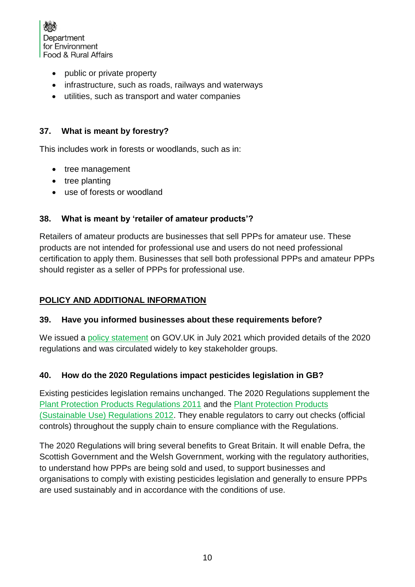

- public or private property
- infrastructure, such as roads, railways and waterways
- utilities, such as transport and water companies

## **37. What is meant by forestry?**

This includes work in forests or woodlands, such as in:

- tree management
- tree planting
- use of forests or woodland

## **38. What is meant by 'retailer of amateur products'?**

Retailers of amateur products are businesses that sell PPPs for amateur use. These products are not intended for professional use and users do not need professional certification to apply them. Businesses that sell both professional PPPs and amateur PPPs should register as a seller of PPPs for professional use.

#### <span id="page-9-0"></span>**POLICY AND ADDITIONAL INFORMATION**

#### **39. Have you informed businesses about these requirements before?**

We issued a [policy statement](https://www.gov.uk/government/publications/the-official-controls-plant-protection-products-regulations-2020-policy-statement/the-official-controls-plant-protection-products-regulations-2020-policy-statement) on GOV.UK in July 2021 which provided details of the 2020 regulations and was circulated widely to key stakeholder groups.

# **40. How do the 2020 Regulations impact pesticides legislation in GB?**

Existing pesticides legislation remains unchanged. The 2020 Regulations supplement the [Plant Protection Products Regulations 2011](https://www.legislation.gov.uk/uksi/2011/2131/contents) and the [Plant Protection Products](https://www.legislation.gov.uk/uksi/2012/1657/contents)  [\(Sustainable Use\) Regulations 2012.](https://www.legislation.gov.uk/uksi/2012/1657/contents) They enable regulators to carry out checks (official controls) throughout the supply chain to ensure compliance with the Regulations.

The 2020 Regulations will bring several benefits to Great Britain. It will enable Defra, the Scottish Government and the Welsh Government, working with the regulatory authorities, to understand how PPPs are being sold and used, to support businesses and organisations to comply with existing pesticides legislation and generally to ensure PPPs are used sustainably and in accordance with the conditions of use.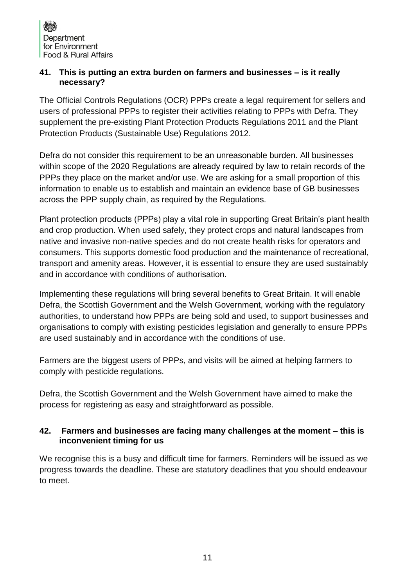#### **41. This is putting an extra burden on farmers and businesses – is it really necessary?**

The Official Controls Regulations (OCR) PPPs create a legal requirement for sellers and users of professional PPPs to register their activities relating to PPPs with Defra. They supplement the pre-existing Plant Protection Products Regulations 2011 and the Plant Protection Products (Sustainable Use) Regulations 2012.

Defra do not consider this requirement to be an unreasonable burden. All businesses within scope of the 2020 Regulations are already required by law to retain records of the PPPs they place on the market and/or use. We are asking for a small proportion of this information to enable us to establish and maintain an evidence base of GB businesses across the PPP supply chain, as required by the Regulations.

Plant protection products (PPPs) play a vital role in supporting Great Britain's plant health and crop production. When used safely, they protect crops and natural landscapes from native and invasive non-native species and do not create health risks for operators and consumers. This supports domestic food production and the maintenance of recreational, transport and amenity areas. However, it is essential to ensure they are used sustainably and in accordance with conditions of authorisation.

Implementing these regulations will bring several benefits to Great Britain. It will enable Defra, the Scottish Government and the Welsh Government, working with the regulatory authorities, to understand how PPPs are being sold and used, to support businesses and organisations to comply with existing pesticides legislation and generally to ensure PPPs are used sustainably and in accordance with the conditions of use.

Farmers are the biggest users of PPPs, and visits will be aimed at helping farmers to comply with pesticide regulations.

Defra, the Scottish Government and the Welsh Government have aimed to make the process for registering as easy and straightforward as possible.

#### **42. Farmers and businesses are facing many challenges at the moment – this is inconvenient timing for us**

We recognise this is a busy and difficult time for farmers. Reminders will be issued as we progress towards the deadline. These are statutory deadlines that you should endeavour to meet.